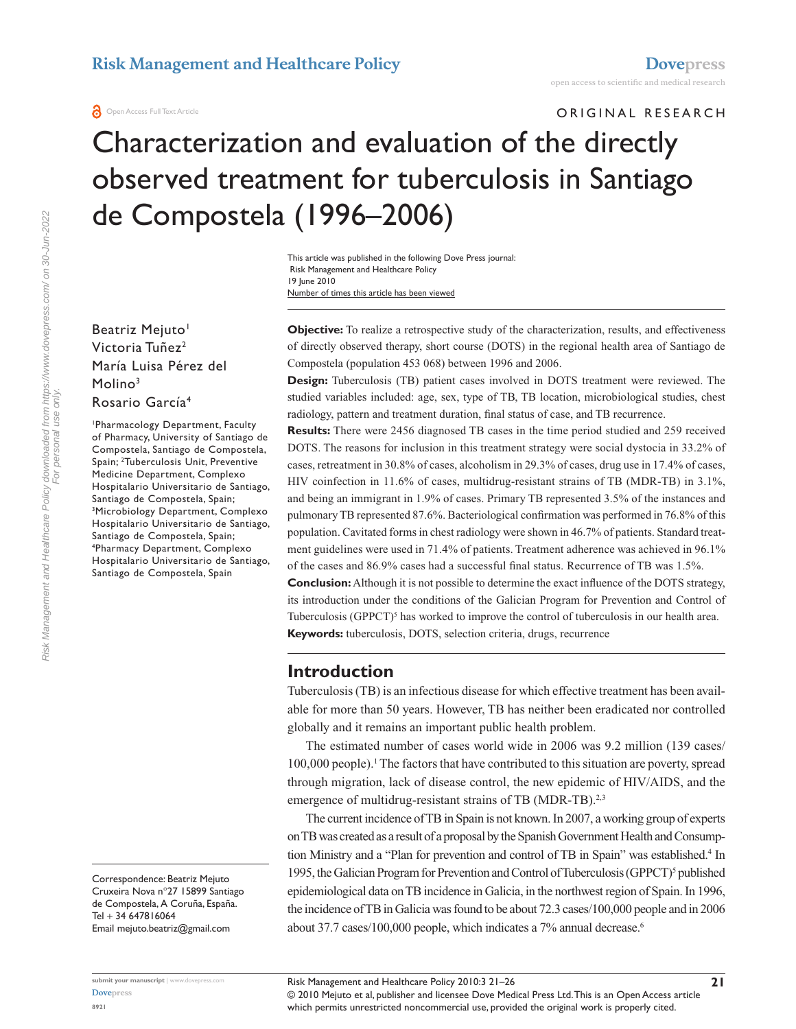ORIGINAL RESEARCH

# Characterization and evaluation of the directly observed treatment for tuberculosis in Santiago de Compostela (1996–2006)

Number of times this article has been viewed This article was published in the following Dove Press journal: Risk Management and Healthcare Policy 19 June 2010

Beatriz Mejuto<sup>1</sup> Victoria Tuñez<sup>2</sup> María Luisa Pérez del Molino<sup>3</sup> Rosario García4

1 Pharmacology Department, Faculty of Pharmacy, University of Santiago de Compostela, Santiago de Compostela, Spain; 2 Tuberculosis Unit, Preventive Medicine Department, Complexo Hospitalario Universitario de Santiago, Santiago de Compostela, Spain; 3 Microbiology Department, Complexo Hospitalario Universitario de Santiago, Santiago de Compostela, Spain; 4 Pharmacy Department, Complexo Hospitalario Universitario de Santiago, Santiago de Compostela, Spain

Correspondence: Beatriz Mejuto Cruxeira Nova n°27 15899 Santiago de Compostela, A Coruña, España. Tel + 34 647816064 Email mejuto.beatriz@gmail.com

**submit your manuscript** | <www.dovepress.com>

**Objective:** To realize a retrospective study of the characterization, results, and effectiveness of directly observed therapy, short course (DOTS) in the regional health area of Santiago de Compostela (population 453 068) between 1996 and 2006.

**Design:** Tuberculosis (TB) patient cases involved in DOTS treatment were reviewed. The studied variables included: age, sex, type of TB, TB location, microbiological studies, chest radiology, pattern and treatment duration, final status of case, and TB recurrence.

**Results:** There were 2456 diagnosed TB cases in the time period studied and 259 received DOTS. The reasons for inclusion in this treatment strategy were social dystocia in 33.2% of cases, retreatment in 30.8% of cases, alcoholism in 29.3% of cases, drug use in 17.4% of cases, HIV coinfection in 11.6% of cases, multidrug-resistant strains of TB (MDR-TB) in 3.1%, and being an immigrant in 1.9% of cases. Primary TB represented 3.5% of the instances and pulmonary TB represented 87.6%. Bacteriological confirmation was performed in 76.8% of this population. Cavitated forms in chest radiology were shown in 46.7% of patients. Standard treatment guidelines were used in 71.4% of patients. Treatment adherence was achieved in 96.1% of the cases and 86.9% cases had a successful final status. Recurrence of TB was 1.5%.

**Conclusion:** Although it is not possible to determine the exact influence of the DOTS strategy, its introduction under the conditions of the Galician Program for Prevention and Control of Tuberculosis  $(GPPCT)^5$  has worked to improve the control of tuberculosis in our health area. **Keywords:** tuberculosis, DOTS, selection criteria, drugs, recurrence

## **Introduction**

Tuberculosis (TB) is an infectious disease for which effective treatment has been available for more than 50 years. However, TB has neither been eradicated nor controlled globally and it remains an important public health problem.

The estimated number of cases world wide in 2006 was 9.2 million (139 cases/ 100,000 people).<sup>1</sup> The factors that have contributed to this situation are poverty, spread through migration, lack of disease control, the new epidemic of HIV/AIDS, and the emergence of multidrug-resistant strains of TB (MDR-TB).<sup>2,3</sup>

The current incidence of TB in Spain is not known. In 2007, a working group of experts on TB was created as a result of a proposal by the Spanish Government Health and Consumption Ministry and a "Plan for prevention and control of TB in Spain" was established.<sup>4</sup> In 1995, the Galician Program for Prevention and Control of Tuberculosis (GPPCT)<sup>5</sup> published epidemiological data on TB incidence in Galicia, in the northwest region of Spain. In 1996, the incidence of TB in Galicia was found to be about 72.3 cases/100,000 people and in 2006 about 37.7 cases/100,000 people, which indicates a 7% annual decrease.<sup>6</sup>

**[Dovepress](www.dovepress.com)**

© 2010 Mejuto et al, publisher and licensee Dove Medical Press Ltd. This is an Open Access article which permits unrestricted noncommercial use, provided the original work is properly cited.

Risk Management and Healthcare Policy downloaded from https://www.dovepress.com/ on 30-Jun-2022 For personal use only.

Risk Management and Healthcare Policy downloaded from https://www.dovepress.com/ on 30-Jun-2022<br>For personal use only.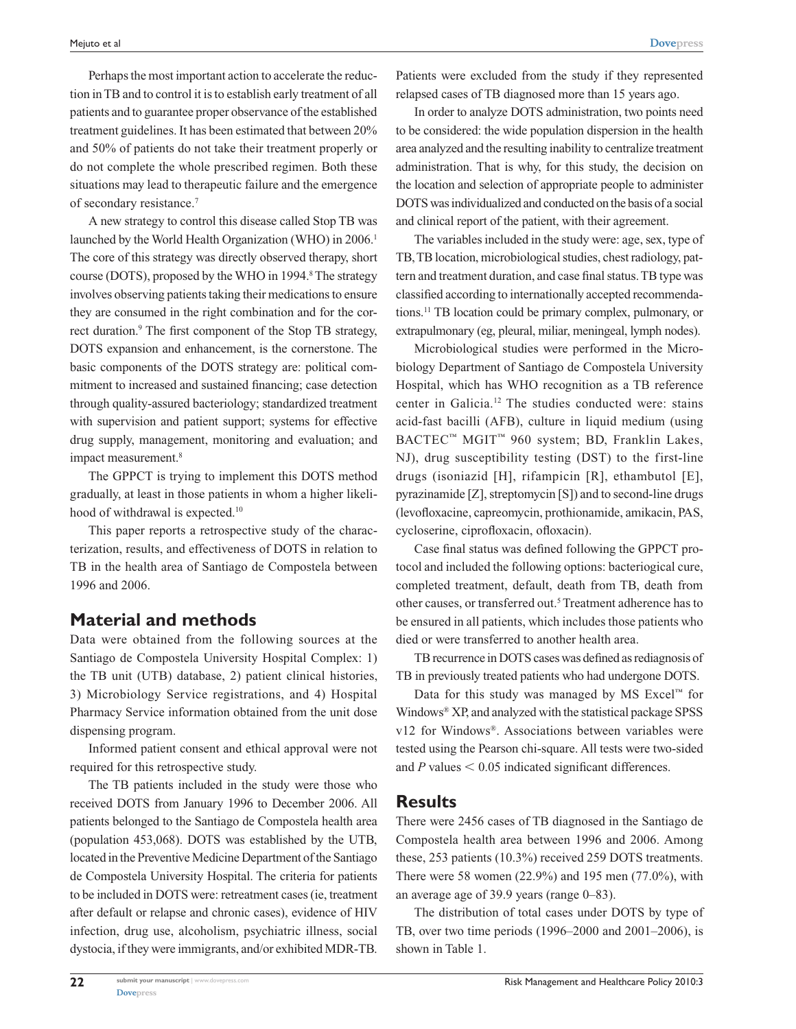Perhaps the most important action to accelerate the reduction in TB and to control it is to establish early treatment of all patients and to guarantee proper observance of the established treatment guidelines. It has been estimated that between 20% and 50% of patients do not take their treatment properly or do not complete the whole prescribed regimen. Both these situations may lead to therapeutic failure and the emergence of secondary resistance.7

A new strategy to control this disease called Stop TB was launched by the World Health Organization (WHO) in 2006.<sup>1</sup> The core of this strategy was directly observed therapy, short course (DOTS), proposed by the WHO in 1994.<sup>8</sup> The strategy involves observing patients taking their medications to ensure they are consumed in the right combination and for the correct duration.<sup>9</sup> The first component of the Stop TB strategy, DOTS expansion and enhancement, is the cornerstone. The basic components of the DOTS strategy are: political commitment to increased and sustained financing; case detection through quality-assured bacteriology; standardized treatment with supervision and patient support; systems for effective drug supply, management, monitoring and evaluation; and impact measurement.<sup>8</sup>

The GPPCT is trying to implement this DOTS method gradually, at least in those patients in whom a higher likelihood of withdrawal is expected.<sup>10</sup>

This paper reports a retrospective study of the characterization, results, and effectiveness of DOTS in relation to TB in the health area of Santiago de Compostela between 1996 and 2006.

## **Material and methods**

Data were obtained from the following sources at the Santiago de Compostela University Hospital Complex: 1) the TB unit (UTB) database, 2) patient clinical histories, 3) Microbiology Service registrations, and 4) Hospital Pharmacy Service information obtained from the unit dose dispensing program.

Informed patient consent and ethical approval were not required for this retrospective study.

The TB patients included in the study were those who received DOTS from January 1996 to December 2006. All patients belonged to the Santiago de Compostela health area (population 453,068). DOTS was established by the UTB, located in the Preventive Medicine Department of the Santiago de Compostela University Hospital. The criteria for patients to be included in DOTS were: retreatment cases (ie, treatment after default or relapse and chronic cases), evidence of HIV infection, drug use, alcoholism, psychiatric illness, social dystocia, if they were immigrants, and/or exhibited MDR-TB.

Patients were excluded from the study if they represented relapsed cases of TB diagnosed more than 15 years ago.

In order to analyze DOTS administration, two points need to be considered: the wide population dispersion in the health area analyzed and the resulting inability to centralize treatment administration. That is why, for this study, the decision on the location and selection of appropriate people to administer DOTS was individualized and conducted on the basis of a social and clinical report of the patient, with their agreement.

The variables included in the study were: age, sex, type of TB, TB location, microbiological studies, chest radiology, pattern and treatment duration, and case final status. TB type was classified according to internationally accepted recommendations.11 TB location could be primary complex, pulmonary, or extrapulmonary (eg, pleural, miliar, meningeal, lymph nodes).

Microbiological studies were performed in the Microbiology Department of Santiago de Compostela University Hospital, which has WHO recognition as a TB reference center in Galicia.12 The studies conducted were: stains acid-fast bacilli (AFB), culture in liquid medium (using BACTEC™ MGIT™ 960 system; BD, Franklin Lakes, NJ), drug susceptibility testing (DST) to the first-line drugs (isoniazid [H], rifampicin [R], ethambutol [E], pyrazinamide [Z], streptomycin [S]) and to second-line drugs (levofloxacine, capreomycin, prothionamide, amikacin, PAS, cycloserine, ciprofloxacin, ofloxacin).

Case final status was defined following the GPPCT protocol and included the following options: bacteriogical cure, completed treatment, default, death from TB, death from other causes, or transferred out.<sup>5</sup> Treatment adherence has to be ensured in all patients, which includes those patients who died or were transferred to another health area.

TB recurrence in DOTS cases was defined as rediagnosis of TB in previously treated patients who had undergone DOTS.

Data for this study was managed by MS  $\text{Excel}^{\text{TM}}$  for Windows® XP, and analyzed with the statistical package SPSS v12 for Windows®. Associations between variables were tested using the Pearson chi-square. All tests were two-sided and  $P$  values  $\leq 0.05$  indicated significant differences.

## **Results**

There were 2456 cases of TB diagnosed in the Santiago de Compostela health area between 1996 and 2006. Among these, 253 patients (10.3%) received 259 DOTS treatments. There were 58 women (22.9%) and 195 men (77.0%), with an average age of 39.9 years (range 0–83).

The distribution of total cases under DOTS by type of TB, over two time periods (1996–2000 and 2001–2006), is shown in Table 1.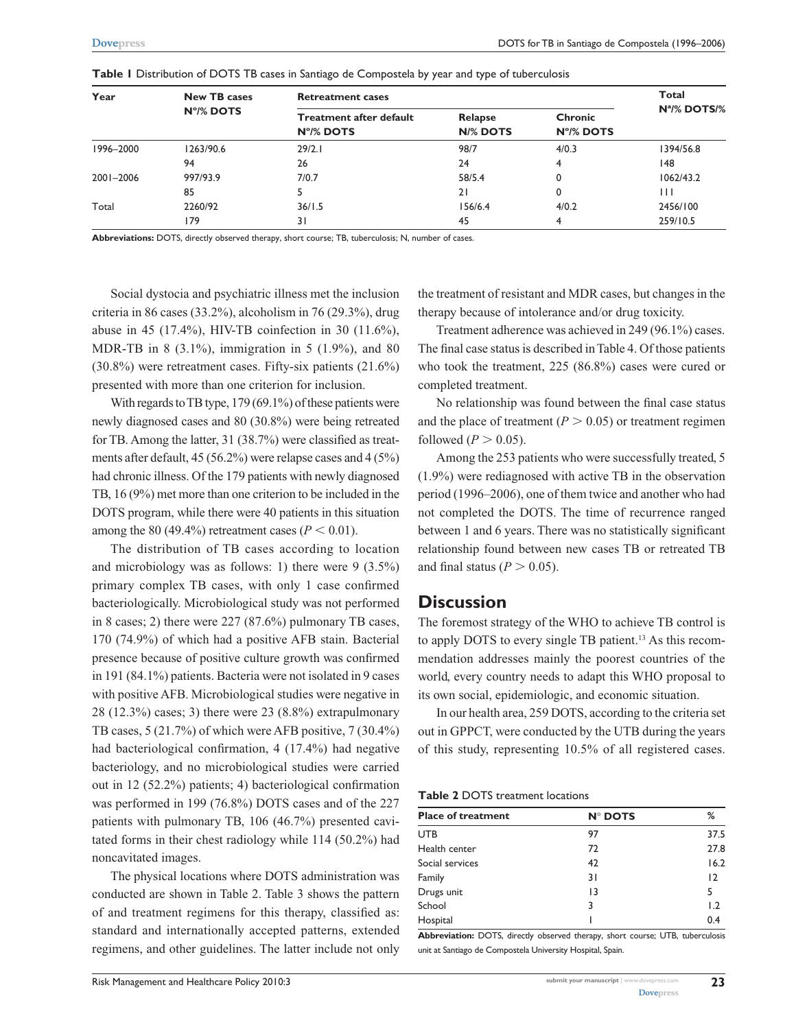| Year      | <b>New TB cases</b> | <b>Retreatment cases</b>                    | <b>Total</b>               |                      |                          |
|-----------|---------------------|---------------------------------------------|----------------------------|----------------------|--------------------------|
|           | N°/% DOTS           | <b>Treatment after default</b><br>N°/% DOTS | Relapse<br><b>N/% DOTS</b> | Chronic<br>N°/% DOTS | N <sup>a</sup> /% DOTS/% |
| 1996-2000 | 1263/90.6           | 29/2.1                                      | 98/7                       | 4/0.3                | 1394/56.8                |
|           | 94                  | 26                                          | 24                         | 4                    | 148                      |
| 2001-2006 | 997/93.9            | 7/0.7                                       | 58/5.4                     |                      | 1062/43.2                |
|           | 85                  | 5                                           | 21                         | 0                    | $\mathbf{1}$             |
| Total     | 2260/92             | 36/1.5                                      | 156/6.4                    | 4/0.2                | 2456/100                 |
|           | 179                 | 31                                          | 45                         | 4                    | 259/10.5                 |

**Table 1** Distribution of DOTS TB cases in Santiago de Compostela by year and type of tuberculosis

**Abbreviations:** DOTS, directly observed therapy, short course; TB, tuberculosis; N, number of cases.

Social dystocia and psychiatric illness met the inclusion criteria in 86 cases (33.2%), alcoholism in 76 (29.3%), drug abuse in 45 (17.4%), HIV-TB coinfection in 30 (11.6%), MDR-TB in 8 (3.1%), immigration in 5 (1.9%), and 80 (30.8%) were retreatment cases. Fifty-six patients (21.6%) presented with more than one criterion for inclusion.

With regards to TB type, 179 (69.1%) of these patients were newly diagnosed cases and 80 (30.8%) were being retreated for TB. Among the latter, 31 (38.7%) were classified as treatments after default, 45 (56.2%) were relapse cases and 4 (5%) had chronic illness. Of the 179 patients with newly diagnosed TB, 16 (9%) met more than one criterion to be included in the DOTS program, while there were 40 patients in this situation among the 80 (49.4%) retreatment cases ( $P < 0.01$ ).

The distribution of TB cases according to location and microbiology was as follows: 1) there were  $9$  (3.5%) primary complex TB cases, with only 1 case confirmed bacteriologically. Microbiological study was not performed in 8 cases; 2) there were 227 (87.6%) pulmonary TB cases, 170 (74.9%) of which had a positive AFB stain. Bacterial presence because of positive culture growth was confirmed in 191 (84.1%) patients. Bacteria were not isolated in 9 cases with positive AFB. Microbiological studies were negative in 28 (12.3%) cases; 3) there were 23 (8.8%) extrapulmonary TB cases, 5 (21.7%) of which were AFB positive, 7 (30.4%) had bacteriological confirmation, 4 (17.4%) had negative bacteriology, and no microbiological studies were carried out in 12 (52.2%) patients; 4) bacteriological confirmation was performed in 199 (76.8%) DOTS cases and of the 227 patients with pulmonary TB, 106 (46.7%) presented cavitated forms in their chest radiology while 114 (50.2%) had noncavitated images.

The physical locations where DOTS administration was conducted are shown in Table 2. Table 3 shows the pattern of and treatment regimens for this therapy, classified as: standard and internationally accepted patterns, extended regimens, and other guidelines. The latter include not only

Risk Management and Healthcare Policy 2010:3 **Submit your manuscript |<www.dovepress.com>** Submit your manuscript | www.

the treatment of resistant and MDR cases, but changes in the therapy because of intolerance and/or drug toxicity.

Treatment adherence was achieved in 249 (96.1%) cases. The final case status is described in Table 4. Of those patients who took the treatment, 225 (86.8%) cases were cured or completed treatment.

No relationship was found between the final case status and the place of treatment ( $P > 0.05$ ) or treatment regimen followed ( $P > 0.05$ ).

Among the 253 patients who were successfully treated, 5 (1.9%) were rediagnosed with active TB in the observation period (1996–2006), one of them twice and another who had not completed the DOTS. The time of recurrence ranged between 1 and 6 years. There was no statistically significant relationship found between new cases TB or retreated TB and final status ( $P > 0.05$ ).

## **Discussion**

The foremost strategy of the WHO to achieve TB control is to apply DOTS to every single TB patient.13 As this recommendation addresses mainly the poorest countries of the world, every country needs to adapt this WHO proposal to its own social, epidemiologic, and economic situation.

In our health area, 259 DOTS, according to the criteria set out in GPPCT, were conducted by the UTB during the years of this study, representing 10.5% of all registered cases.

| <b>Table 2 DOTS treatment locations</b> |  |  |
|-----------------------------------------|--|--|
|-----------------------------------------|--|--|

| <b>N° DOTS</b> | %    |  |
|----------------|------|--|
| 97             | 37.5 |  |
| 72             | 27.8 |  |
| 42             | 16.2 |  |
| 31             | 12   |  |
| 13             | 5    |  |
| 3              | 1.2  |  |
|                | 0.4  |  |
|                |      |  |

**Abbreviation:** DOTS, directly observed therapy, short course; UTB, tuberculosis unit at Santiago de Compostela University Hospital, Spain.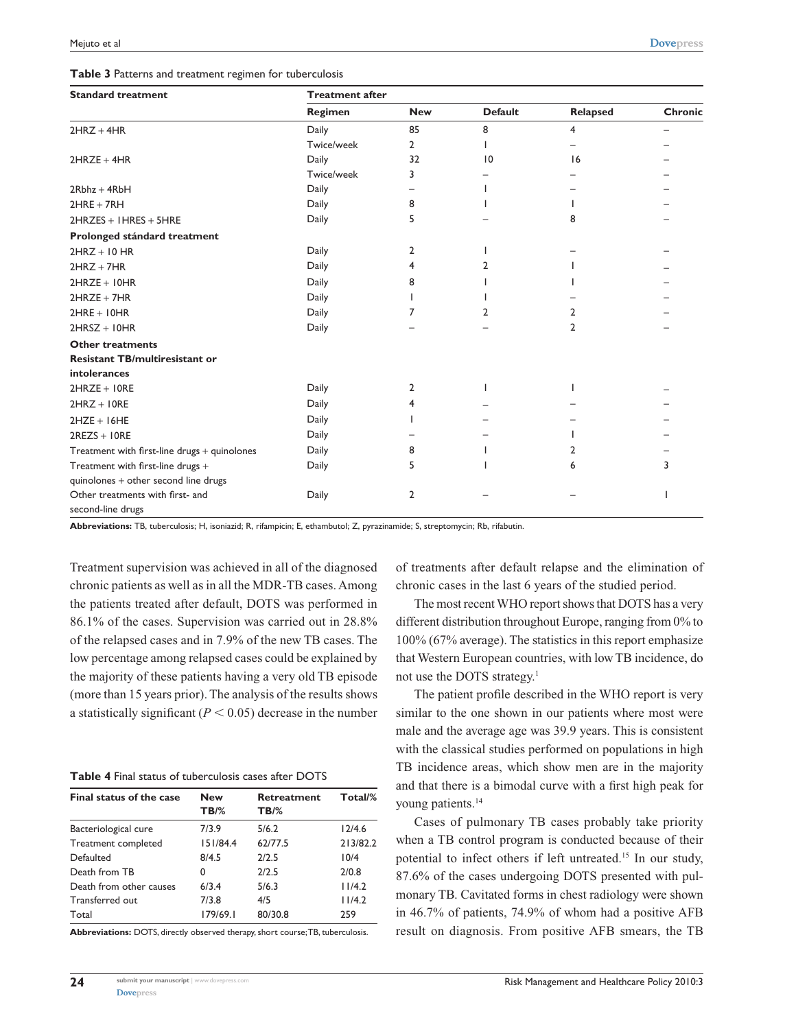| Table 3 Patterns and treatment regimen for tuberculosis |  |  |  |
|---------------------------------------------------------|--|--|--|
|                                                         |  |  |  |

| <b>Standard treatment</b>                                                                   | <b>Treatment after</b> |              |                 |          |                |  |  |  |
|---------------------------------------------------------------------------------------------|------------------------|--------------|-----------------|----------|----------------|--|--|--|
|                                                                                             | Regimen                | <b>New</b>   | <b>Default</b>  | Relapsed | <b>Chronic</b> |  |  |  |
| $2H RZ + 4HR$                                                                               | Daily                  | 85           | 8               | 4        |                |  |  |  |
|                                                                                             | Twice/week             | $\mathbf{2}$ |                 |          |                |  |  |  |
| $2HRZE + 4HR$                                                                               | Daily                  | 32           | $\overline{10}$ | 16       |                |  |  |  |
|                                                                                             | Twice/week             | 3            |                 |          |                |  |  |  |
| $2Rbhz + 4RbH$                                                                              | Daily                  |              |                 |          |                |  |  |  |
| $2HRE + 7RH$                                                                                | Daily                  | 8            |                 |          |                |  |  |  |
| $2H RZES + HRES + 5HRE$                                                                     | Daily                  | 5            |                 | 8        |                |  |  |  |
| Prolonged stándard treatment                                                                |                        |              |                 |          |                |  |  |  |
| $2HRZ + 10 HR$                                                                              | Daily                  | 2            |                 |          |                |  |  |  |
| $2HRZ + 7HR$                                                                                | Daily                  | 4            | 7               |          |                |  |  |  |
| $2HRZE + IOHR$                                                                              | Daily                  | 8            |                 |          |                |  |  |  |
| $2HRZE + 7HR$                                                                               | Daily                  |              |                 |          |                |  |  |  |
| $2HRE + 10HR$                                                                               | Daily                  | 7            | 2               | 2        |                |  |  |  |
| $2HRSZ + 10HR$                                                                              | Daily                  |              |                 | 2        |                |  |  |  |
| <b>Other treatments</b>                                                                     |                        |              |                 |          |                |  |  |  |
| <b>Resistant TB/multiresistant or</b>                                                       |                        |              |                 |          |                |  |  |  |
| <b>intolerances</b>                                                                         |                        |              |                 |          |                |  |  |  |
| $2HRZE + IORE$                                                                              | Daily                  | 2            |                 |          |                |  |  |  |
| $2H RZ + I0RE$                                                                              | Daily                  | 4            |                 |          |                |  |  |  |
| $2HZE + 16HE$                                                                               | Daily                  |              |                 |          |                |  |  |  |
| $2REZS + 10RE$                                                                              | Daily                  |              |                 |          |                |  |  |  |
| $\begin{array}{l} {\bf Treatment\ with\ first\text{-}line\ drugs + quinolones} \end{array}$ | Daily                  | 8            |                 | 2        |                |  |  |  |
| Treatment with first-line drugs +                                                           | Daily                  | 5            |                 | 6        | 3              |  |  |  |
| quinolones + other second line drugs                                                        |                        |              |                 |          |                |  |  |  |
| Other treatments with first- and                                                            | Daily                  | 2            |                 |          |                |  |  |  |
| second-line drugs                                                                           |                        |              |                 |          |                |  |  |  |

**Abbreviations:** TB, tuberculosis; H, isoniazid; R, rifampicin; E, ethambutol; Z, pyrazinamide; S, streptomycin; Rb, rifabutin.

Treatment supervision was achieved in all of the diagnosed chronic patients as well as in all the MDR-TB cases. Among the patients treated after default, DOTS was performed in 86.1% of the cases. Supervision was carried out in 28.8% of the relapsed cases and in 7.9% of the new TB cases. The low percentage among relapsed cases could be explained by the majority of these patients having a very old TB episode (more than 15 years prior). The analysis of the results shows a statistically significant  $(P < 0.05)$  decrease in the number

|  |  |  |  | <b>Table 4</b> Final status of tuberculosis cases after DOTS |  |  |  |
|--|--|--|--|--------------------------------------------------------------|--|--|--|
|--|--|--|--|--------------------------------------------------------------|--|--|--|

| Final status of the case | <b>New</b> | Retreatment | Total/%  |
|--------------------------|------------|-------------|----------|
|                          | $TB\%$     | <b>TB/%</b> |          |
| Bacteriological cure     | 7/3.9      | 5/6.2       | 12/4.6   |
| Treatment completed      | 151/84.4   | 62/77.5     | 213/82.2 |
| Defaulted                | 8/4.5      | 2/2.5       | 10/4     |
| Death from TB            | 0          | 2/2.5       | 2/0.8    |
| Death from other causes  | 6/3.4      | 5/6.3       | 11/4.2   |
| Transferred out          | 7/3.8      | 4/5         | 11/4.2   |
| Total                    | 179/69.1   | 80/30.8     | 259      |

**Abbreviations:** DOTS, directly observed therapy, short course; TB, tuberculosis.

of treatments after default relapse and the elimination of chronic cases in the last 6 years of the studied period.

The most recent WHO report shows that DOTS has a very different distribution throughout Europe, ranging from 0% to 100% (67% average). The statistics in this report emphasize that Western European countries, with low TB incidence, do not use the DOTS strategy.1

The patient profile described in the WHO report is very similar to the one shown in our patients where most were male and the average age was 39.9 years. This is consistent with the classical studies performed on populations in high TB incidence areas, which show men are in the majority and that there is a bimodal curve with a first high peak for young patients.<sup>14</sup>

Cases of pulmonary TB cases probably take priority when a TB control program is conducted because of their potential to infect others if left untreated.<sup>15</sup> In our study, 87.6% of the cases undergoing DOTS presented with pulmonary TB. Cavitated forms in chest radiology were shown in 46.7% of patients, 74.9% of whom had a positive AFB result on diagnosis. From positive AFB smears, the TB

**[Dovepress](www.dovepress.com)** 

**24**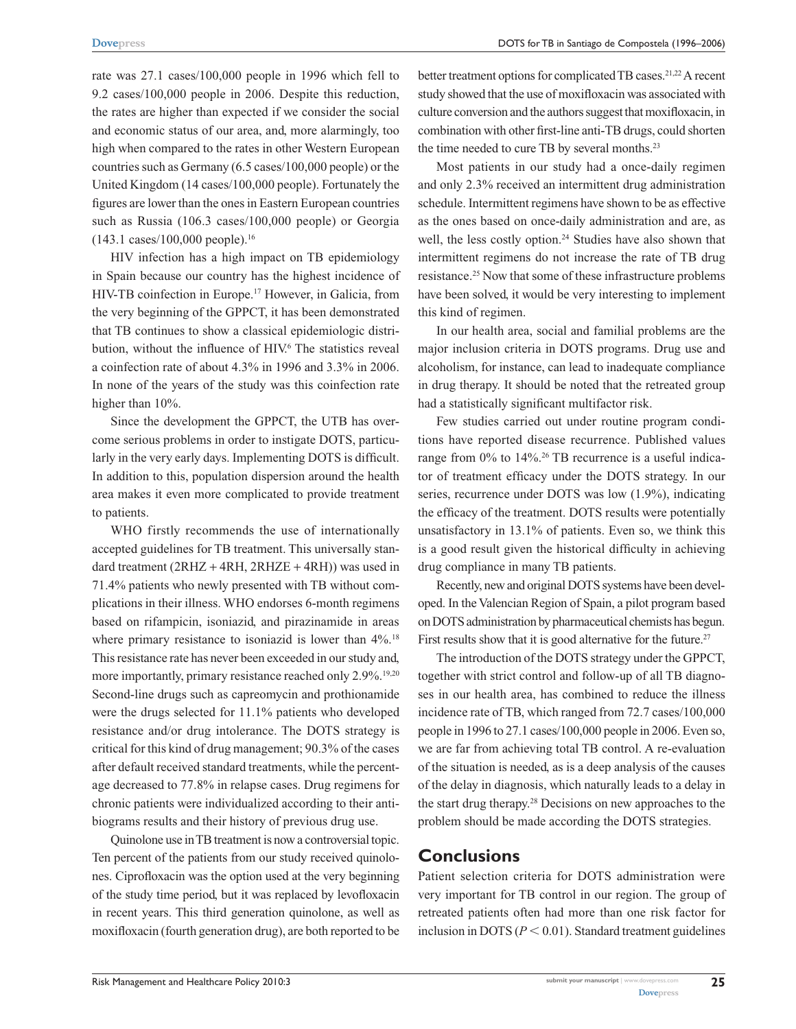rate was 27.1 cases/100,000 people in 1996 which fell to 9.2 cases/100,000 people in 2006. Despite this reduction, the rates are higher than expected if we consider the social and economic status of our area, and, more alarmingly, too high when compared to the rates in other Western European countries such as Germany (6.5 cases/100,000 people) or the United Kingdom (14 cases/100,000 people). Fortunately the figures are lower than the ones in Eastern European countries such as Russia (106.3 cases/100,000 people) or Georgia  $(143.1 \text{ cases}/100,000 \text{ people}).^{16}$ 

HIV infection has a high impact on TB epidemiology in Spain because our country has the highest incidence of HIV-TB coinfection in Europe.17 However, in Galicia, from the very beginning of the GPPCT, it has been demonstrated that TB continues to show a classical epidemiologic distribution, without the influence of HIV.<sup>6</sup> The statistics reveal a coinfection rate of about 4.3% in 1996 and 3.3% in 2006. In none of the years of the study was this coinfection rate higher than  $10%$ .

Since the development the GPPCT, the UTB has overcome serious problems in order to instigate DOTS, particularly in the very early days. Implementing DOTS is difficult. In addition to this, population dispersion around the health area makes it even more complicated to provide treatment to patients.

WHO firstly recommends the use of internationally accepted guidelines for TB treatment. This universally standard treatment  $(2RHZ + 4RH, 2RHZE + 4RH))$  was used in 71.4% patients who newly presented with TB without complications in their illness. WHO endorses 6-month regimens based on rifampicin, isoniazid, and pirazinamide in areas where primary resistance to isoniazid is lower than  $4\%$ .<sup>18</sup> This resistance rate has never been exceeded in our study and, more importantly, primary resistance reached only 2.9%.<sup>19,20</sup> Second-line drugs such as capreomycin and prothionamide were the drugs selected for 11.1% patients who developed resistance and/or drug intolerance. The DOTS strategy is critical for this kind of drug management; 90.3% of the cases after default received standard treatments, while the percentage decreased to 77.8% in relapse cases. Drug regimens for chronic patients were individualized according to their antibiograms results and their history of previous drug use.

Quinolone use in TB treatment is now a controversial topic. Ten percent of the patients from our study received quinolones. Ciprofloxacin was the option used at the very beginning of the study time period, but it was replaced by levofloxacin in recent years. This third generation quinolone, as well as moxifloxacin (fourth generation drug), are both reported to be better treatment options for complicated TB cases.<sup>21,22</sup> A recent study showed that the use of moxifloxacin was associated with culture conversion and the authors suggest that moxifloxacin, in combination with other first-line anti-TB drugs, could shorten the time needed to cure TB by several months.<sup>23</sup>

Most patients in our study had a once-daily regimen and only 2.3% received an intermittent drug administration schedule. Intermittent regimens have shown to be as effective as the ones based on once-daily administration and are, as well, the less costly option.<sup>24</sup> Studies have also shown that intermittent regimens do not increase the rate of TB drug resistance.25 Now that some of these infrastructure problems have been solved, it would be very interesting to implement this kind of regimen.

In our health area, social and familial problems are the major inclusion criteria in DOTS programs. Drug use and alcoholism, for instance, can lead to inadequate compliance in drug therapy. It should be noted that the retreated group had a statistically significant multifactor risk.

Few studies carried out under routine program conditions have reported disease recurrence. Published values range from 0% to 14%.<sup>26</sup> TB recurrence is a useful indicator of treatment efficacy under the DOTS strategy. In our series, recurrence under DOTS was low (1.9%), indicating the efficacy of the treatment. DOTS results were potentially unsatisfactory in 13.1% of patients. Even so, we think this is a good result given the historical difficulty in achieving drug compliance in many TB patients.

Recently, new and original DOTS systems have been developed. In the Valencian Region of Spain, a pilot program based on DOTS administration by pharmaceutical chemists has begun. First results show that it is good alternative for the future.<sup>27</sup>

The introduction of the DOTS strategy under the GPPCT, together with strict control and follow-up of all TB diagnoses in our health area, has combined to reduce the illness incidence rate of TB, which ranged from 72.7 cases/100,000 people in 1996 to 27.1 cases/100,000 people in 2006. Even so, we are far from achieving total TB control. A re-evaluation of the situation is needed, as is a deep analysis of the causes of the delay in diagnosis, which naturally leads to a delay in the start drug therapy.28 Decisions on new approaches to the problem should be made according the DOTS strategies.

## **Conclusions**

Patient selection criteria for DOTS administration were very important for TB control in our region. The group of retreated patients often had more than one risk factor for inclusion in DOTS ( $P < 0.01$ ). Standard treatment guidelines